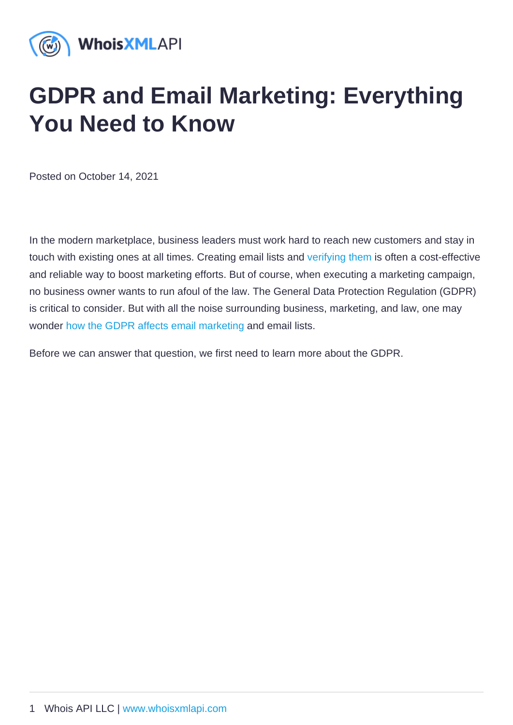# GDPR and Email Marketing: Everything You Need to Know

Posted on October 14, 2021

In the modern marketplace, business leaders must work hard to reach new customers and stay in touch with existing ones at all times. Creating email lists and [verifying them](https://emailverification.whoisxmlapi.com/) is often a cost-effective and reliable way to boost marketing efforts. But of course, when executing a marketing campaign, no business owner wants to run afoul of the law. The General Data Protection Regulation (GDPR) is critical to consider. But with all the noise surrounding business, marketing, and law, one may wonder [how the GDPR affects email marketing](https://emailverification.whoisxmlapi.com/blog/how-will-gdpr-impact-your-email-marketing-strategy) and email lists.

Before we can answer that question, we first need to learn more about the GDPR.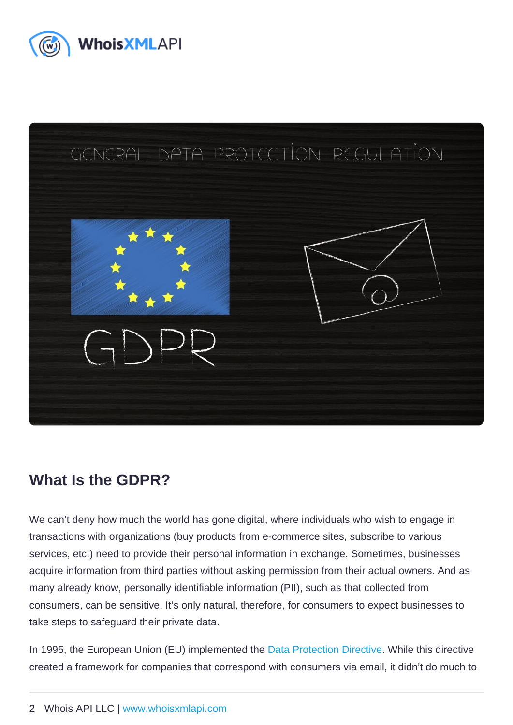### What Is the GDPR?

We can't deny how much the world has gone digital, where individuals who wish to engage in transactions with organizations (buy products from e-commerce sites, subscribe to various services, etc.) need to provide their personal information in exchange. Sometimes, businesses acquire information from third parties without asking permission from their actual owners. And as many already know, personally identifiable information (PII), such as that collected from consumers, can be sensitive. It's only natural, therefore, for consumers to expect businesses to take steps to safeguard their private data.

In 1995, the European Union (EU) implemented the [Data Protection Directive.](https://en.wikipedia.org/wiki/Data_Protection_Directive) While this directive created a framework for companies that correspond with consumers via email, it didn't do much to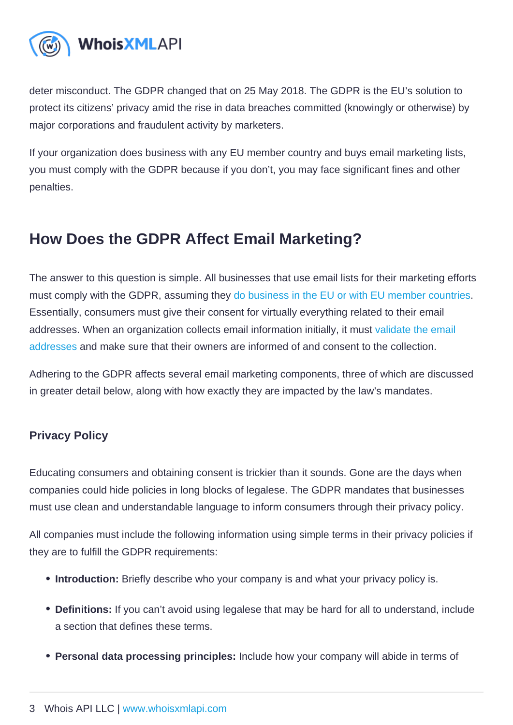deter misconduct. The GDPR changed that on 25 May 2018. The GDPR is the EU's solution to protect its citizens' privacy amid the rise in data breaches committed (knowingly or otherwise) by major corporations and fraudulent activity by marketers.

If your organization does business with any EU member country and buys email marketing lists, you must comply with the GDPR because if you don't, you may face significant fines and other penalties.

## How Does the GDPR Affect Email Marketing ?

The answer to this question is simple. All businesses that use email lists for their marketing efforts must comply with the GDPR, assuming they [do business in the EU or with EU member countries](https://ec.europa.eu/info/business-economy-euro/doing-business-eu_en). Essentially, consumers must give their consent for virtually everything related to their email addresses. When an organization collects email information initially, it must [validate the email](https://emailverification.whoisxmlapi.com/blog/how-to-tell-if-email-address-is-valid-6-ways-to-check)  [addresses](https://emailverification.whoisxmlapi.com/blog/how-to-tell-if-email-address-is-valid-6-ways-to-check) and make sure that their owners are informed of and consent to the collection.

Adhering to the GDPR affects several email marketing components, three of which are discussed in greater detail below, along with how exactly they are impacted by the law's mandates.

#### Privacy Policy

Educating consumers and obtaining consent is trickier than it sounds. Gone are the days when companies could hide policies in long blocks of legalese. The GDPR mandates that businesses must use clean and understandable language to inform consumers through their privacy policy.

All companies must include the following information using simple terms in their privacy policies if they are to fulfill the GDPR requirements:

- Introduction: Briefly describe who your company is and what your privacy policy is.
- Definitions: If you can't avoid using legalese that may be hard for all to understand, include a section that defines these terms.
- Personal data processing principles: Include how your company will abide in terms of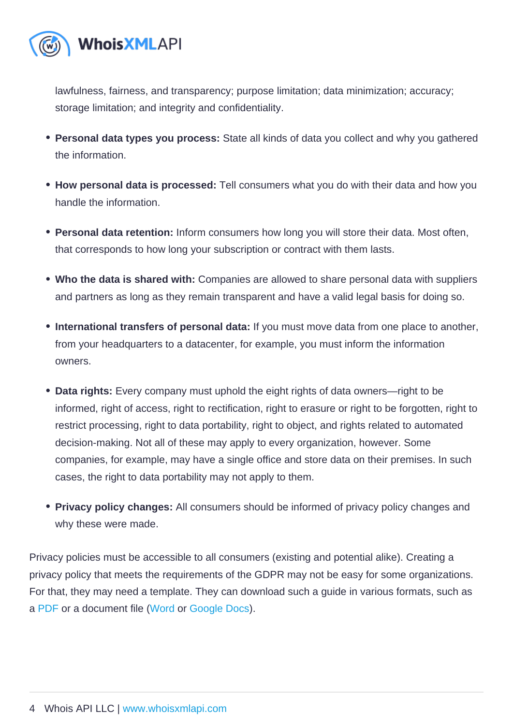lawfulness, fairness, and transparency; purpose limitation; data minimization; accuracy; storage limitation; and integrity and confidentiality.

- Personal data types you process: State all kinds of data you collect and why you gathered the information.
- How personal data is processed: Tell consumers what you do with their data and how you handle the information.
- Personal data retention: Inform consumers how long you will store their data. Most often, that corresponds to how long your subscription or contract with them lasts.
- Who the data is shared with: Companies are allowed to share personal data with suppliers and partners as long as they remain transparent and have a valid legal basis for doing so.
- International transfers of personal data: If you must move data from one place to another, from your headquarters to a datacenter, for example, you must inform the information owners.
- Data rights: Every company must uphold the eight rights of data owners—right to be informed, right of access, right to rectification, right to erasure or right to be forgotten, right to restrict processing, right to data portability, right to object, and rights related to automated decision-making. Not all of these may apply to every organization, however. Some companies, for example, may have a single office and store data on their premises. In such cases, the right to data portability may not apply to them.
- Privacy policy changes: All consumers should be informed of privacy policy changes and why these were made.

Privacy policies must be accessible to all consumers (existing and potential alike). Creating a privacy policy that meets the requirements of the GDPR may not be easy for some organizations. For that, they may need a template. They can download such a guide in various formats, such as a [PDF](https://www.termsfeed.com/public/uploads/2019/02/sample-gdpr-privacy-policy-policy-template.pdf) or a document file [\(Word](https://www.termsfeed.com/public/uploads/2019/02/sample-gdpr-privacy-policy-policy-template.docx) or [Google Docs](https://docs.google.com/document/d/1Ja3WNHd3z_xECU1vkpA2feofSwHcq-0YsgCo_6XEkgM/edit)).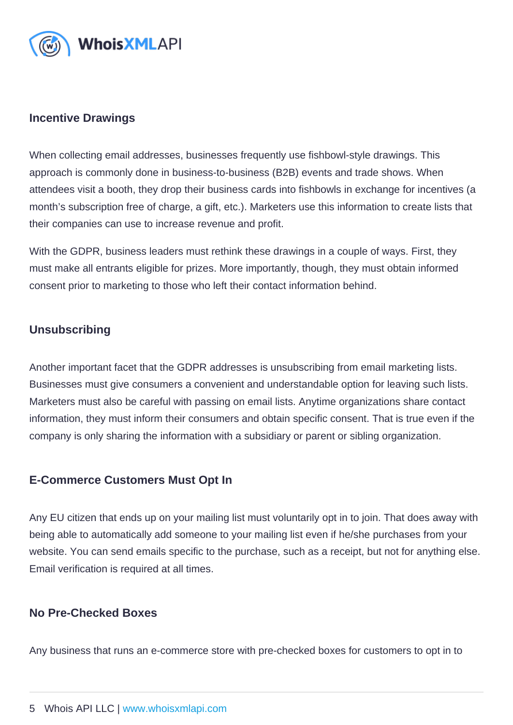#### Incentive Drawings

When collecting email addresses, businesses frequently use fishbowl-style drawings. This approach is commonly done in business-to-business (B2B) events and trade shows. When attendees visit a booth, they drop their business cards into fishbowls in exchange for incentives (a month's subscription free of charge, a gift, etc.). Marketers use this information to create lists that their companies can use to increase revenue and profit.

With the GDPR, business leaders must rethink these drawings in a couple of ways. First, they must make all entrants eligible for prizes. More importantly, though, they must obtain informed consent prior to marketing to those who left their contact information behind.

#### **Unsubscribing**

Another important facet that the GDPR addresses is unsubscribing from email marketing lists. Businesses must give consumers a convenient and understandable option for leaving such lists. Marketers must also be careful with passing on email lists. Anytime organizations share contact information, they must inform their consumers and obtain specific consent. That is true even if the company is only sharing the information with a subsidiary or parent or sibling organization.

#### E-Commerce Customers Must Opt In

Any EU citizen that ends up on your mailing list must voluntarily opt in to join. That does away with being able to automatically add someone to your mailing list even if he/she purchases from your website. You can send emails specific to the purchase, such as a receipt, but not for anything else. Email verification is required at all times.

#### No Pre-Checked Boxes

Any business that runs an e-commerce store with pre-checked boxes for customers to opt in to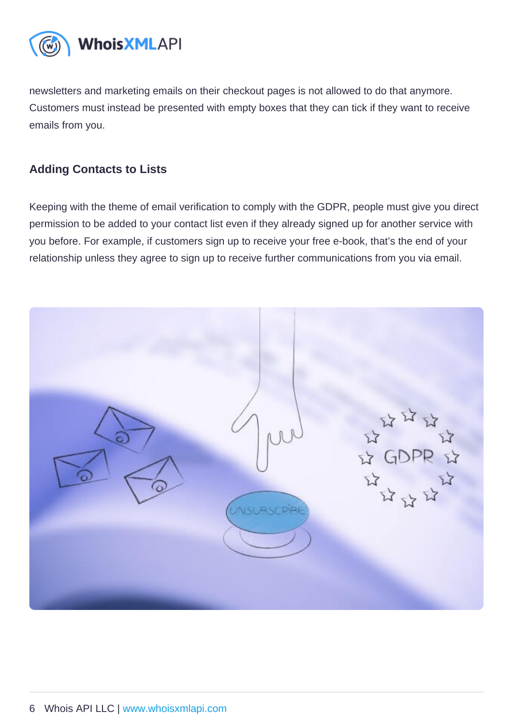newsletters and marketing emails on their checkout pages is not allowed to do that anymore. Customers must instead be presented with empty boxes that they can tick if they want to receive emails from you.

#### Adding Contacts to Lists

Keeping with the theme of email verification to comply with the GDPR, people must give you direct permission to be added to your contact list even if they already signed up for another service with you before. For example, if customers sign up to receive your free e-book, that's the end of your relationship unless they agree to sign up to receive further communications from you via email.